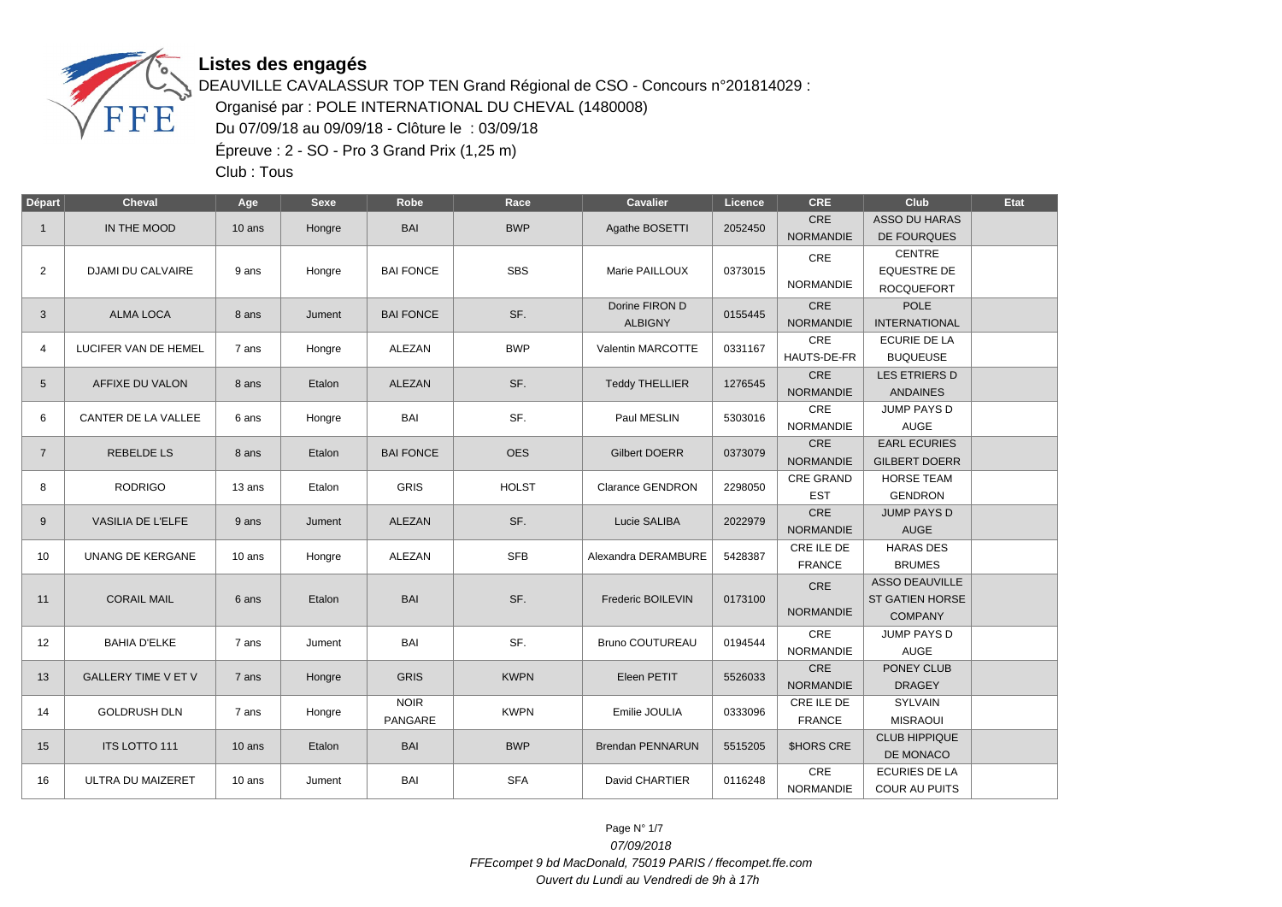

DEAUVILLE CAVALASSUR TOP TEN Grand Régional de CSO - Concours n°201814029 : Organisé par : POLE INTERNATIONAL DU CHEVAL (1480008) Du 07/09/18 au 09/09/18 - Clôture le : 03/09/18 Épreuve : 2 - SO - Pro 3 Grand Prix (1,25 m)

Club : Tous

| Départ         | <b>Cheval</b>              | Age                         | <b>Sexe</b> | Robe             | Race         | <b>Cavalier</b>         | Licence | <b>CRE</b>              | Club                   | Etat           |
|----------------|----------------------------|-----------------------------|-------------|------------------|--------------|-------------------------|---------|-------------------------|------------------------|----------------|
| $\mathbf{1}$   | IN THE MOOD                | $10$ ans                    | Hongre      | <b>BAI</b>       | <b>BWP</b>   | Agathe BOSETTI          | 2052450 | CRE<br><b>NORMANDIE</b> | <b>ASSO DU HARAS</b>   |                |
|                |                            |                             |             |                  |              |                         |         |                         | DE FOURQUES<br>CENTRE  |                |
| 2              | <b>DJAMI DU CALVAIRE</b>   | 9 ans                       | Hongre      | <b>BAI FONCE</b> | <b>SBS</b>   | Marie PAILLOUX          | 0373015 | CRE                     | <b>EQUESTRE DE</b>     |                |
|                |                            |                             |             |                  |              |                         |         | <b>NORMANDIE</b>        | <b>ROCQUEFORT</b>      |                |
| 3              | <b>ALMA LOCA</b>           | 8 ans                       | Jument      | <b>BAI FONCE</b> | SF.          | Dorine FIRON D          | 0155445 | CRE                     | <b>POLE</b>            |                |
|                |                            |                             |             |                  |              | <b>ALBIGNY</b>          |         | <b>NORMANDIE</b>        | <b>INTERNATIONAL</b>   |                |
| $\overline{4}$ | LUCIFER VAN DE HEMEL       | 7 ans                       | Hongre      | ALEZAN           | <b>BWP</b>   | Valentin MARCOTTE       | 0331167 | CRE                     | <b>ECURIE DE LA</b>    |                |
|                |                            |                             |             |                  |              |                         |         | HAUTS-DE-FR             | <b>BUQUEUSE</b>        |                |
| 5              | AFFIXE DU VALON            | 8 ans                       | Etalon      | <b>ALEZAN</b>    | SF.          | <b>Teddy THELLIER</b>   | 1276545 | <b>CRE</b>              | <b>LES ETRIERS D</b>   |                |
|                |                            |                             |             |                  |              |                         |         | <b>NORMANDIE</b>        | <b>ANDAINES</b>        |                |
| 6              | <b>CANTER DE LA VALLEE</b> | 6 ans                       | Hongre      | <b>BAI</b>       | SF.          | Paul MESLIN             | 5303016 | <b>CRE</b>              | <b>JUMP PAYS D</b>     |                |
|                |                            |                             |             |                  |              |                         |         | <b>NORMANDIE</b>        | <b>AUGE</b>            |                |
| $\overline{7}$ | <b>REBELDE LS</b>          | 8 ans                       | Etalon      | <b>BAI FONCE</b> | <b>OES</b>   | <b>Gilbert DOERR</b>    | 0373079 | <b>CRE</b>              | <b>EARL ECURIES</b>    |                |
|                |                            |                             |             |                  |              |                         |         | <b>NORMANDIE</b>        | <b>GILBERT DOERR</b>   |                |
| 8              | <b>RODRIGO</b>             | 13 ans                      | Etalon      | <b>GRIS</b>      | <b>HOLST</b> | <b>Clarance GENDRON</b> | 2298050 | <b>CRE GRAND</b>        | <b>HORSE TEAM</b>      |                |
|                |                            |                             |             |                  |              |                         |         | <b>EST</b>              | <b>GENDRON</b>         |                |
| 9              | VASILIA DE L'ELFE          | 9 ans                       | Jument      | ALEZAN           | SF.          | Lucie SALIBA            | 2022979 | CRE                     | <b>JUMP PAYS D</b>     |                |
|                |                            |                             |             |                  |              |                         |         | <b>NORMANDIE</b>        | <b>AUGE</b>            |                |
| 10             | UNANG DE KERGANE           | 10 ans                      | Hongre      | ALEZAN           | <b>SFB</b>   | Alexandra DERAMBURE     | 5428387 | CRE ILE DE              | <b>HARAS DES</b>       |                |
|                |                            |                             |             |                  |              |                         |         | <b>FRANCE</b>           | <b>BRUMES</b>          |                |
|                |                            | <b>CORAIL MAIL</b><br>6 ans | Etalon      |                  | SF.          |                         |         | CRE                     | <b>ASSO DEAUVILLE</b>  |                |
| 11             |                            |                             |             | <b>BAI</b>       |              | Frederic BOILEVIN       | 0173100 |                         | <b>ST GATIEN HORSE</b> |                |
|                |                            |                             |             |                  |              |                         |         |                         | <b>NORMANDIE</b>       | <b>COMPANY</b> |
| 12             | <b>BAHIA D'ELKE</b>        | 7 ans                       | Jument      | BAI              | SF.          | <b>Bruno COUTUREAU</b>  | 0194544 | <b>CRE</b>              | <b>JUMP PAYS D</b>     |                |
|                |                            |                             |             |                  |              |                         |         | <b>NORMANDIE</b>        | <b>AUGE</b>            |                |
| 13             | <b>GALLERY TIME V ET V</b> | 7 ans                       | Hongre      | <b>GRIS</b>      | <b>KWPN</b>  | Eleen PETIT             | 5526033 | CRE                     | <b>PONEY CLUB</b>      |                |
|                |                            |                             |             |                  |              |                         |         | <b>NORMANDIE</b>        | <b>DRAGEY</b>          |                |
| 14             | <b>GOLDRUSH DLN</b>        | 7 ans                       | Hongre      | <b>NOIR</b>      | <b>KWPN</b>  | Emilie JOULIA           | 0333096 | CRE ILE DE              | SYLVAIN                |                |
|                |                            |                             |             | PANGARE          |              |                         |         | <b>FRANCE</b>           | <b>MISRAOUI</b>        |                |
| 15             | <b>ITS LOTTO 111</b>       | $10$ ans                    | Etalon      | <b>BAI</b>       | <b>BWP</b>   | <b>Brendan PENNARUN</b> | 5515205 | <b>SHORS CRE</b>        | <b>CLUB HIPPIQUE</b>   |                |
|                |                            |                             |             |                  |              |                         |         |                         | DE MONACO              |                |
| 16             | ULTRA DU MAIZERET          | 10 ans                      | Jument      | <b>BAI</b>       | <b>SFA</b>   | David CHARTIER          | 0116248 | CRE                     | <b>ECURIES DE LA</b>   |                |
|                |                            |                             |             |                  |              |                         |         | <b>NORMANDIE</b>        | COUR AU PUITS          |                |

Page N° 1/7 07/09/2018 FFEcompet 9 bd MacDonald, 75019 PARIS / ffecompet.ffe.com Ouvert du Lundi au Vendredi de 9h à 17h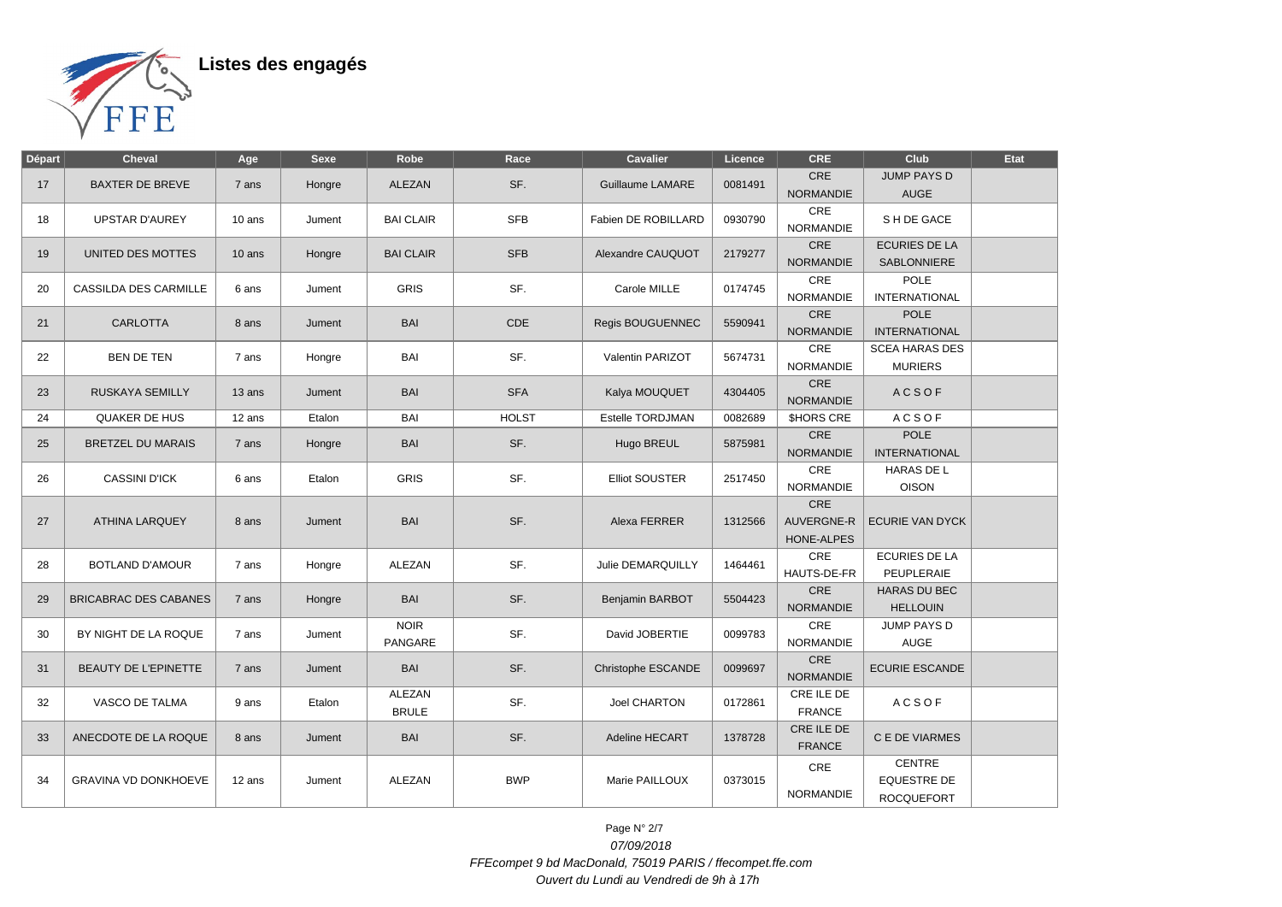

| Départ | Cheval                       | Age      | <b>Sexe</b> | Robe             | Race         | <b>Cavalier</b>         | Licence | <b>CRE</b>              | Club                   | <b>Etat</b> |
|--------|------------------------------|----------|-------------|------------------|--------------|-------------------------|---------|-------------------------|------------------------|-------------|
|        |                              |          |             |                  | SF.          |                         |         | <b>CRE</b>              | <b>JUMP PAYS D</b>     |             |
| 17     | <b>BAXTER DE BREVE</b>       | 7 ans    | Hongre      | <b>ALEZAN</b>    |              | <b>Guillaume LAMARE</b> | 0081491 | <b>NORMANDIE</b>        | <b>AUGE</b>            |             |
| 18     | <b>UPSTAR D'AUREY</b>        | 10 ans   | Jument      | <b>BAI CLAIR</b> | <b>SFB</b>   | Fabien DE ROBILLARD     | 0930790 | CRE<br><b>NORMANDIE</b> | S H DE GACE            |             |
| 19     | UNITED DES MOTTES            | $10$ ans |             | <b>BAI CLAIR</b> | <b>SFB</b>   | Alexandre CAUQUOT       | 2179277 | CRE                     | <b>ECURIES DE LA</b>   |             |
|        |                              |          | Hongre      |                  |              |                         |         | <b>NORMANDIE</b>        | <b>SABLONNIERE</b>     |             |
| 20     | <b>CASSILDA DES CARMILLE</b> | 6 ans    | Jument      | <b>GRIS</b>      | SF.          | Carole MILLE            | 0174745 | CRE                     | <b>POLE</b>            |             |
|        |                              |          |             |                  |              |                         |         | <b>NORMANDIE</b>        | <b>INTERNATIONAL</b>   |             |
| 21     | <b>CARLOTTA</b>              | 8 ans    | Jument      | <b>BAI</b>       | CDE          | <b>Regis BOUGUENNEC</b> | 5590941 | CRE                     | <b>POLE</b>            |             |
|        |                              |          |             |                  |              |                         |         | <b>NORMANDIE</b>        | <b>INTERNATIONAL</b>   |             |
| 22     | <b>BEN DE TEN</b>            | 7 ans    | Hongre      | BAI              | SF.          | Valentin PARIZOT        | 5674731 | CRE                     | <b>SCEA HARAS DES</b>  |             |
|        |                              |          |             |                  |              |                         |         | <b>NORMANDIE</b>        | <b>MURIERS</b>         |             |
| 23     | <b>RUSKAYA SEMILLY</b>       | 13 ans   | Jument      | <b>BAI</b>       | <b>SFA</b>   | Kalya MOUQUET           | 4304405 | CRE<br><b>NORMANDIE</b> | <b>ACSOF</b>           |             |
| 24     | <b>QUAKER DE HUS</b>         | 12 ans   | Etalon      | BAI              | <b>HOLST</b> | Estelle TORDJMAN        | 0082689 | <b>SHORS CRE</b>        | <b>ACSOF</b>           |             |
| 25     | <b>BRETZEL DU MARAIS</b>     | 7 ans    | Hongre      | <b>BAI</b>       | SF.          | Hugo BREUL              | 5875981 | CRE                     | <b>POLE</b>            |             |
|        |                              |          |             |                  |              |                         |         | <b>NORMANDIE</b>        | <b>INTERNATIONAL</b>   |             |
| 26     | <b>CASSINI D'ICK</b>         | 6 ans    | Etalon      | <b>GRIS</b>      | SF.          | <b>Elliot SOUSTER</b>   | 2517450 | CRE                     | HARAS DE L             |             |
|        |                              |          |             |                  |              |                         |         | <b>NORMANDIE</b>        | <b>OISON</b>           |             |
|        | <b>ATHINA LARQUEY</b>        | 8 ans    |             | BAI              | SF.          | Alexa FERRER            |         | CRE                     |                        |             |
| 27     |                              |          | Jument      |                  |              |                         | 1312566 | <b>AUVERGNE-R</b>       | <b>ECURIE VAN DYCK</b> |             |
|        |                              |          |             |                  |              |                         |         | HONE-ALPES              |                        |             |
|        |                              |          |             | ALEZAN           | SF.          | Julie DEMARQUILLY       |         | CRE                     | <b>ECURIES DE LA</b>   |             |
| 28     | <b>BOTLAND D'AMOUR</b>       | 7 ans    | Hongre      |                  |              |                         | 1464461 | HAUTS-DE-FR             | PEUPLERAIE             |             |
|        |                              |          |             |                  |              |                         |         | CRE                     | <b>HARAS DU BEC</b>    |             |
| 29     | <b>BRICABRAC DES CABANES</b> | 7 ans    | Hongre      | <b>BAI</b>       | SF.          | Benjamin BARBOT         | 5504423 | <b>NORMANDIE</b>        | <b>HELLOUIN</b>        |             |
|        |                              |          |             | <b>NOIR</b>      |              |                         |         | CRE                     | JUMP PAYS D            |             |
| 30     | BY NIGHT DE LA ROQUE         | 7 ans    | Jument      | PANGARE          | SF.          | David JOBERTIE          | 0099783 | <b>NORMANDIE</b>        | <b>AUGE</b>            |             |
| 31     | BEAUTY DE L'EPINETTE         | 7 ans    | Jument      | <b>BAI</b>       | SF.          | Christophe ESCANDE      | 0099697 | CRE                     | <b>ECURIE ESCANDE</b>  |             |
|        |                              |          |             |                  |              |                         |         | <b>NORMANDIE</b>        |                        |             |
| 32     | VASCO DE TALMA               | 9 ans    | Etalon      | ALEZAN           | SF.          | Joel CHARTON            | 0172861 | CRE ILE DE              | <b>ACSOF</b>           |             |
|        |                              |          |             | <b>BRULE</b>     |              |                         |         | <b>FRANCE</b>           |                        |             |
| 33     | ANECDOTE DE LA ROQUE         | 8 ans    | Jument      | BAI              | SF.          | Adeline HECART          | 1378728 | CRE ILE DE              | C E DE VIARMES         |             |
|        |                              |          |             |                  |              |                         |         | <b>FRANCE</b>           |                        |             |
|        |                              |          |             |                  |              |                         |         | CRE                     | <b>CENTRE</b>          |             |
| 34     | <b>GRAVINA VD DONKHOEVE</b>  | 12 ans   | Jument      | <b>ALEZAN</b>    | <b>BWP</b>   | Marie PAILLOUX          | 0373015 |                         | <b>EQUESTRE DE</b>     |             |
|        |                              |          |             |                  |              |                         |         | <b>NORMANDIE</b>        | <b>ROCQUEFORT</b>      |             |

Page N° 2/7 07/09/2018 FFEcompet 9 bd MacDonald, 75019 PARIS / ffecompet.ffe.com Ouvert du Lundi au Vendredi de 9h à 17h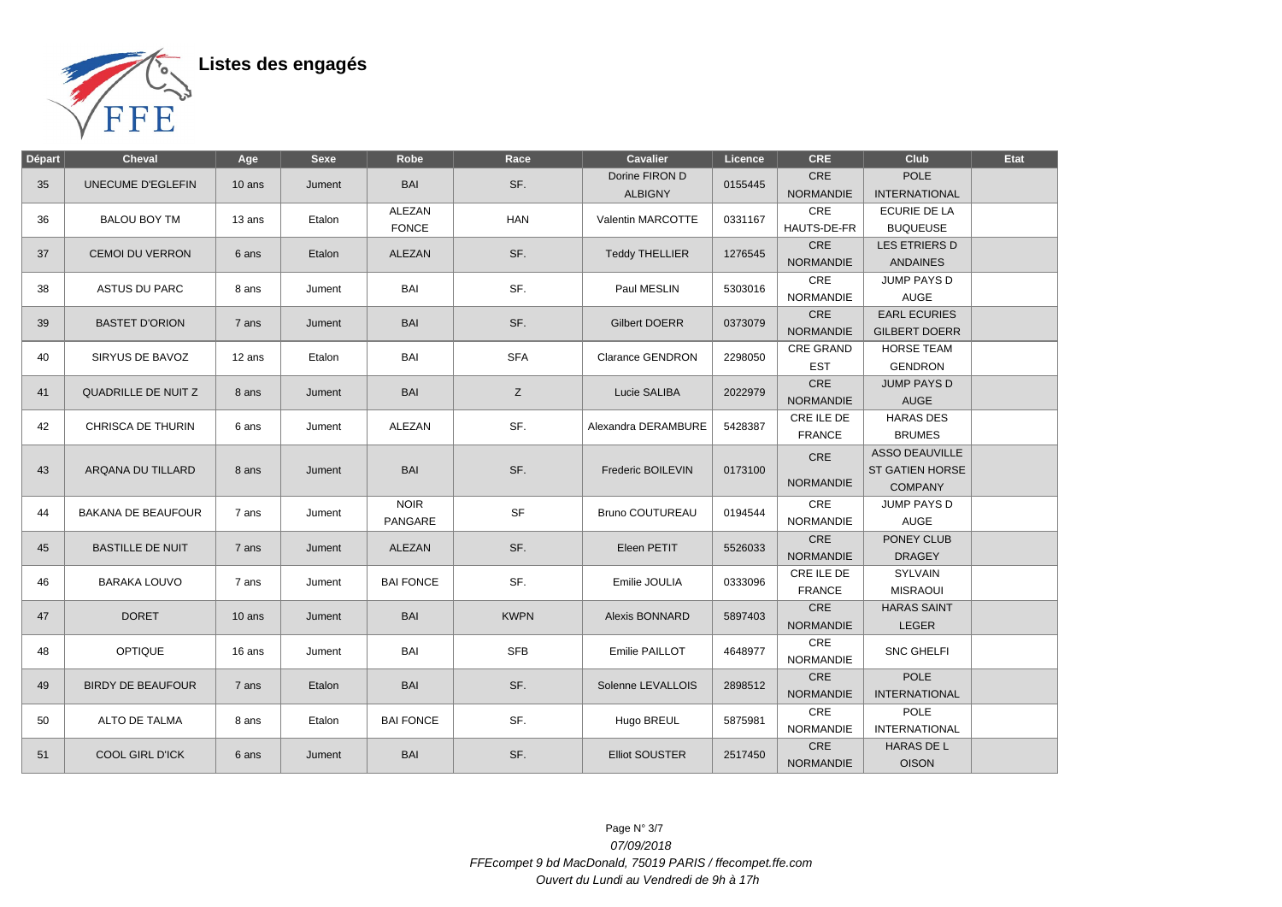

| <b>POLE</b><br>Dorine FIRON D<br><b>CRE</b><br>SF.<br>UNECUME D'EGLEFIN<br><b>BAI</b><br>0155445<br>35<br>10 ans<br>Jument<br><b>NORMANDIE</b><br><b>INTERNATIONAL</b><br><b>ALBIGNY</b><br>CRE<br>ECURIE DE LA<br>ALEZAN<br><b>BALOU BOY TM</b><br><b>HAN</b><br>Valentin MARCOTTE<br>0331167<br>36<br>13 ans<br>Etalon<br><b>FONCE</b><br><b>BUQUEUSE</b><br>HAUTS-DE-FR<br>CRE<br>LES ETRIERS D<br>SF.<br><b>CEMOI DU VERRON</b><br>Etalon<br>ALEZAN<br><b>Teddy THELLIER</b><br>1276545<br>37<br>6 ans<br><b>NORMANDIE</b><br><b>ANDAINES</b><br>CRE<br>JUMP PAYS D<br>SF.<br>BAI<br>Paul MESLIN<br>5303016<br>38<br><b>ASTUS DU PARC</b><br>8 ans<br>Jument<br>NORMANDIE<br><b>AUGE</b><br>CRE<br><b>EARL ECURIES</b><br><b>BAI</b><br>SF.<br><b>BASTET D'ORION</b><br><b>Gilbert DOERR</b><br>0373079<br>39<br>7 ans<br>Jument<br><b>NORMANDIE</b><br><b>GILBERT DOERR</b><br><b>CRE GRAND</b><br><b>HORSE TEAM</b><br><b>SFA</b><br>SIRYUS DE BAVOZ<br>Etalon<br><b>BAI</b><br><b>Clarance GENDRON</b><br>2298050<br>40<br>12 ans<br><b>EST</b><br><b>GENDRON</b><br><b>CRE</b><br><b>JUMP PAYS D</b><br><b>BAI</b><br>Z<br><b>QUADRILLE DE NUITZ</b><br>Lucie SALIBA<br>2022979<br>41<br>8 ans<br>Jument<br><b>NORMANDIE</b><br><b>AUGE</b><br><b>HARAS DES</b><br>CRE ILE DE<br>SF.<br>42<br>CHRISCA DE THURIN<br>ALEZAN<br>5428387<br>6 ans<br>Jument<br>Alexandra DERAMBURE<br><b>FRANCE</b><br><b>BRUMES</b><br><b>ASSO DEAUVILLE</b><br>CRE<br>SF.<br>ARQANA DU TILLARD<br><b>BAI</b><br>Frederic BOILEVIN<br><b>ST GATIEN HORSE</b><br>43<br>0173100<br>8 ans<br>Jument<br><b>NORMANDIE</b><br><b>COMPANY</b><br><b>NOIR</b><br>CRE<br>JUMP PAYS D<br><b>SF</b><br><b>BAKANA DE BEAUFOUR</b><br><b>Bruno COUTUREAU</b><br>0194544<br>44<br>7 ans<br>Jument<br><b>AUGE</b><br><b>PANGARE</b><br>NORMANDIE<br><b>CRE</b><br>PONEY CLUB<br>SF.<br>ALEZAN<br>Eleen PETIT<br>5526033<br>45<br><b>BASTILLE DE NUIT</b><br>7 ans<br>Jument<br><b>NORMANDIE</b><br><b>DRAGEY</b><br>CRE ILE DE<br>SYLVAIN<br>SF.<br><b>BARAKA LOUVO</b><br><b>BAI FONCE</b><br>Emilie JOULIA<br>0333096<br>46<br>7 ans<br>Jument<br><b>FRANCE</b><br><b>MISRAOUI</b><br>CRE<br><b>HARAS SAINT</b><br><b>DORET</b><br><b>BAI</b><br><b>KWPN</b><br>47<br>Alexis BONNARD<br>5897403<br>10 ans<br>Jument<br><b>NORMANDIE</b><br><b>LEGER</b><br>CRE<br><b>OPTIQUE</b><br><b>BAI</b><br><b>SFB</b><br>48<br>Emilie PAILLOT<br>4648977<br><b>SNC GHELFI</b><br>16 ans<br>Jument<br>NORMANDIE<br><b>CRE</b><br><b>POLE</b><br>SF.<br><b>BIRDY DE BEAUFOUR</b><br><b>BAI</b><br>Solenne LEVALLOIS<br>2898512<br>49<br>Etalon<br>7 ans<br><b>NORMANDIE</b><br><b>INTERNATIONAL</b><br>CRE<br>POLE<br>SF.<br>ALTO DE TALMA<br><b>BAI FONCE</b><br>Etalon<br>Hugo BREUL<br>5875981<br>50<br>8 ans<br>NORMANDIE<br><b>INTERNATIONAL</b><br>CRE<br><b>HARAS DE L</b><br>SF.<br><b>BAI</b><br><b>COOL GIRL D'ICK</b><br><b>Elliot SOUSTER</b><br>2517450<br>51<br>6 ans<br>Jument | Départ | <b>Cheval</b> | Age | <b>Sexe</b> | Robe | Race | Cavalier | Licence | <b>CRE</b>       | <b>Club</b>  | Etat |
|------------------------------------------------------------------------------------------------------------------------------------------------------------------------------------------------------------------------------------------------------------------------------------------------------------------------------------------------------------------------------------------------------------------------------------------------------------------------------------------------------------------------------------------------------------------------------------------------------------------------------------------------------------------------------------------------------------------------------------------------------------------------------------------------------------------------------------------------------------------------------------------------------------------------------------------------------------------------------------------------------------------------------------------------------------------------------------------------------------------------------------------------------------------------------------------------------------------------------------------------------------------------------------------------------------------------------------------------------------------------------------------------------------------------------------------------------------------------------------------------------------------------------------------------------------------------------------------------------------------------------------------------------------------------------------------------------------------------------------------------------------------------------------------------------------------------------------------------------------------------------------------------------------------------------------------------------------------------------------------------------------------------------------------------------------------------------------------------------------------------------------------------------------------------------------------------------------------------------------------------------------------------------------------------------------------------------------------------------------------------------------------------------------------------------------------------------------------------------------------------------------------------------------------------------------------------------------------------------------------------------------------------------------------------------------------------------------------------------------------------------------------------------------------------------------------------------------------------------------------------------------------------------------------------------------------------------------|--------|---------------|-----|-------------|------|------|----------|---------|------------------|--------------|------|
|                                                                                                                                                                                                                                                                                                                                                                                                                                                                                                                                                                                                                                                                                                                                                                                                                                                                                                                                                                                                                                                                                                                                                                                                                                                                                                                                                                                                                                                                                                                                                                                                                                                                                                                                                                                                                                                                                                                                                                                                                                                                                                                                                                                                                                                                                                                                                                                                                                                                                                                                                                                                                                                                                                                                                                                                                                                                                                                                                            |        |               |     |             |      |      |          |         |                  |              |      |
|                                                                                                                                                                                                                                                                                                                                                                                                                                                                                                                                                                                                                                                                                                                                                                                                                                                                                                                                                                                                                                                                                                                                                                                                                                                                                                                                                                                                                                                                                                                                                                                                                                                                                                                                                                                                                                                                                                                                                                                                                                                                                                                                                                                                                                                                                                                                                                                                                                                                                                                                                                                                                                                                                                                                                                                                                                                                                                                                                            |        |               |     |             |      |      |          |         |                  |              |      |
|                                                                                                                                                                                                                                                                                                                                                                                                                                                                                                                                                                                                                                                                                                                                                                                                                                                                                                                                                                                                                                                                                                                                                                                                                                                                                                                                                                                                                                                                                                                                                                                                                                                                                                                                                                                                                                                                                                                                                                                                                                                                                                                                                                                                                                                                                                                                                                                                                                                                                                                                                                                                                                                                                                                                                                                                                                                                                                                                                            |        |               |     |             |      |      |          |         |                  |              |      |
|                                                                                                                                                                                                                                                                                                                                                                                                                                                                                                                                                                                                                                                                                                                                                                                                                                                                                                                                                                                                                                                                                                                                                                                                                                                                                                                                                                                                                                                                                                                                                                                                                                                                                                                                                                                                                                                                                                                                                                                                                                                                                                                                                                                                                                                                                                                                                                                                                                                                                                                                                                                                                                                                                                                                                                                                                                                                                                                                                            |        |               |     |             |      |      |          |         |                  |              |      |
|                                                                                                                                                                                                                                                                                                                                                                                                                                                                                                                                                                                                                                                                                                                                                                                                                                                                                                                                                                                                                                                                                                                                                                                                                                                                                                                                                                                                                                                                                                                                                                                                                                                                                                                                                                                                                                                                                                                                                                                                                                                                                                                                                                                                                                                                                                                                                                                                                                                                                                                                                                                                                                                                                                                                                                                                                                                                                                                                                            |        |               |     |             |      |      |          |         |                  |              |      |
|                                                                                                                                                                                                                                                                                                                                                                                                                                                                                                                                                                                                                                                                                                                                                                                                                                                                                                                                                                                                                                                                                                                                                                                                                                                                                                                                                                                                                                                                                                                                                                                                                                                                                                                                                                                                                                                                                                                                                                                                                                                                                                                                                                                                                                                                                                                                                                                                                                                                                                                                                                                                                                                                                                                                                                                                                                                                                                                                                            |        |               |     |             |      |      |          |         |                  |              |      |
|                                                                                                                                                                                                                                                                                                                                                                                                                                                                                                                                                                                                                                                                                                                                                                                                                                                                                                                                                                                                                                                                                                                                                                                                                                                                                                                                                                                                                                                                                                                                                                                                                                                                                                                                                                                                                                                                                                                                                                                                                                                                                                                                                                                                                                                                                                                                                                                                                                                                                                                                                                                                                                                                                                                                                                                                                                                                                                                                                            |        |               |     |             |      |      |          |         |                  |              |      |
|                                                                                                                                                                                                                                                                                                                                                                                                                                                                                                                                                                                                                                                                                                                                                                                                                                                                                                                                                                                                                                                                                                                                                                                                                                                                                                                                                                                                                                                                                                                                                                                                                                                                                                                                                                                                                                                                                                                                                                                                                                                                                                                                                                                                                                                                                                                                                                                                                                                                                                                                                                                                                                                                                                                                                                                                                                                                                                                                                            |        |               |     |             |      |      |          |         |                  |              |      |
|                                                                                                                                                                                                                                                                                                                                                                                                                                                                                                                                                                                                                                                                                                                                                                                                                                                                                                                                                                                                                                                                                                                                                                                                                                                                                                                                                                                                                                                                                                                                                                                                                                                                                                                                                                                                                                                                                                                                                                                                                                                                                                                                                                                                                                                                                                                                                                                                                                                                                                                                                                                                                                                                                                                                                                                                                                                                                                                                                            |        |               |     |             |      |      |          |         |                  |              |      |
|                                                                                                                                                                                                                                                                                                                                                                                                                                                                                                                                                                                                                                                                                                                                                                                                                                                                                                                                                                                                                                                                                                                                                                                                                                                                                                                                                                                                                                                                                                                                                                                                                                                                                                                                                                                                                                                                                                                                                                                                                                                                                                                                                                                                                                                                                                                                                                                                                                                                                                                                                                                                                                                                                                                                                                                                                                                                                                                                                            |        |               |     |             |      |      |          |         |                  |              |      |
|                                                                                                                                                                                                                                                                                                                                                                                                                                                                                                                                                                                                                                                                                                                                                                                                                                                                                                                                                                                                                                                                                                                                                                                                                                                                                                                                                                                                                                                                                                                                                                                                                                                                                                                                                                                                                                                                                                                                                                                                                                                                                                                                                                                                                                                                                                                                                                                                                                                                                                                                                                                                                                                                                                                                                                                                                                                                                                                                                            |        |               |     |             |      |      |          |         |                  |              |      |
|                                                                                                                                                                                                                                                                                                                                                                                                                                                                                                                                                                                                                                                                                                                                                                                                                                                                                                                                                                                                                                                                                                                                                                                                                                                                                                                                                                                                                                                                                                                                                                                                                                                                                                                                                                                                                                                                                                                                                                                                                                                                                                                                                                                                                                                                                                                                                                                                                                                                                                                                                                                                                                                                                                                                                                                                                                                                                                                                                            |        |               |     |             |      |      |          |         |                  |              |      |
|                                                                                                                                                                                                                                                                                                                                                                                                                                                                                                                                                                                                                                                                                                                                                                                                                                                                                                                                                                                                                                                                                                                                                                                                                                                                                                                                                                                                                                                                                                                                                                                                                                                                                                                                                                                                                                                                                                                                                                                                                                                                                                                                                                                                                                                                                                                                                                                                                                                                                                                                                                                                                                                                                                                                                                                                                                                                                                                                                            |        |               |     |             |      |      |          |         |                  |              |      |
|                                                                                                                                                                                                                                                                                                                                                                                                                                                                                                                                                                                                                                                                                                                                                                                                                                                                                                                                                                                                                                                                                                                                                                                                                                                                                                                                                                                                                                                                                                                                                                                                                                                                                                                                                                                                                                                                                                                                                                                                                                                                                                                                                                                                                                                                                                                                                                                                                                                                                                                                                                                                                                                                                                                                                                                                                                                                                                                                                            |        |               |     |             |      |      |          |         |                  |              |      |
|                                                                                                                                                                                                                                                                                                                                                                                                                                                                                                                                                                                                                                                                                                                                                                                                                                                                                                                                                                                                                                                                                                                                                                                                                                                                                                                                                                                                                                                                                                                                                                                                                                                                                                                                                                                                                                                                                                                                                                                                                                                                                                                                                                                                                                                                                                                                                                                                                                                                                                                                                                                                                                                                                                                                                                                                                                                                                                                                                            |        |               |     |             |      |      |          |         |                  |              |      |
|                                                                                                                                                                                                                                                                                                                                                                                                                                                                                                                                                                                                                                                                                                                                                                                                                                                                                                                                                                                                                                                                                                                                                                                                                                                                                                                                                                                                                                                                                                                                                                                                                                                                                                                                                                                                                                                                                                                                                                                                                                                                                                                                                                                                                                                                                                                                                                                                                                                                                                                                                                                                                                                                                                                                                                                                                                                                                                                                                            |        |               |     |             |      |      |          |         |                  |              |      |
|                                                                                                                                                                                                                                                                                                                                                                                                                                                                                                                                                                                                                                                                                                                                                                                                                                                                                                                                                                                                                                                                                                                                                                                                                                                                                                                                                                                                                                                                                                                                                                                                                                                                                                                                                                                                                                                                                                                                                                                                                                                                                                                                                                                                                                                                                                                                                                                                                                                                                                                                                                                                                                                                                                                                                                                                                                                                                                                                                            |        |               |     |             |      |      |          |         |                  |              |      |
|                                                                                                                                                                                                                                                                                                                                                                                                                                                                                                                                                                                                                                                                                                                                                                                                                                                                                                                                                                                                                                                                                                                                                                                                                                                                                                                                                                                                                                                                                                                                                                                                                                                                                                                                                                                                                                                                                                                                                                                                                                                                                                                                                                                                                                                                                                                                                                                                                                                                                                                                                                                                                                                                                                                                                                                                                                                                                                                                                            |        |               |     |             |      |      |          |         |                  |              |      |
|                                                                                                                                                                                                                                                                                                                                                                                                                                                                                                                                                                                                                                                                                                                                                                                                                                                                                                                                                                                                                                                                                                                                                                                                                                                                                                                                                                                                                                                                                                                                                                                                                                                                                                                                                                                                                                                                                                                                                                                                                                                                                                                                                                                                                                                                                                                                                                                                                                                                                                                                                                                                                                                                                                                                                                                                                                                                                                                                                            |        |               |     |             |      |      |          |         |                  |              |      |
|                                                                                                                                                                                                                                                                                                                                                                                                                                                                                                                                                                                                                                                                                                                                                                                                                                                                                                                                                                                                                                                                                                                                                                                                                                                                                                                                                                                                                                                                                                                                                                                                                                                                                                                                                                                                                                                                                                                                                                                                                                                                                                                                                                                                                                                                                                                                                                                                                                                                                                                                                                                                                                                                                                                                                                                                                                                                                                                                                            |        |               |     |             |      |      |          |         |                  |              |      |
|                                                                                                                                                                                                                                                                                                                                                                                                                                                                                                                                                                                                                                                                                                                                                                                                                                                                                                                                                                                                                                                                                                                                                                                                                                                                                                                                                                                                                                                                                                                                                                                                                                                                                                                                                                                                                                                                                                                                                                                                                                                                                                                                                                                                                                                                                                                                                                                                                                                                                                                                                                                                                                                                                                                                                                                                                                                                                                                                                            |        |               |     |             |      |      |          |         |                  |              |      |
|                                                                                                                                                                                                                                                                                                                                                                                                                                                                                                                                                                                                                                                                                                                                                                                                                                                                                                                                                                                                                                                                                                                                                                                                                                                                                                                                                                                                                                                                                                                                                                                                                                                                                                                                                                                                                                                                                                                                                                                                                                                                                                                                                                                                                                                                                                                                                                                                                                                                                                                                                                                                                                                                                                                                                                                                                                                                                                                                                            |        |               |     |             |      |      |          |         |                  |              |      |
|                                                                                                                                                                                                                                                                                                                                                                                                                                                                                                                                                                                                                                                                                                                                                                                                                                                                                                                                                                                                                                                                                                                                                                                                                                                                                                                                                                                                                                                                                                                                                                                                                                                                                                                                                                                                                                                                                                                                                                                                                                                                                                                                                                                                                                                                                                                                                                                                                                                                                                                                                                                                                                                                                                                                                                                                                                                                                                                                                            |        |               |     |             |      |      |          |         |                  |              |      |
|                                                                                                                                                                                                                                                                                                                                                                                                                                                                                                                                                                                                                                                                                                                                                                                                                                                                                                                                                                                                                                                                                                                                                                                                                                                                                                                                                                                                                                                                                                                                                                                                                                                                                                                                                                                                                                                                                                                                                                                                                                                                                                                                                                                                                                                                                                                                                                                                                                                                                                                                                                                                                                                                                                                                                                                                                                                                                                                                                            |        |               |     |             |      |      |          |         |                  |              |      |
|                                                                                                                                                                                                                                                                                                                                                                                                                                                                                                                                                                                                                                                                                                                                                                                                                                                                                                                                                                                                                                                                                                                                                                                                                                                                                                                                                                                                                                                                                                                                                                                                                                                                                                                                                                                                                                                                                                                                                                                                                                                                                                                                                                                                                                                                                                                                                                                                                                                                                                                                                                                                                                                                                                                                                                                                                                                                                                                                                            |        |               |     |             |      |      |          |         |                  |              |      |
|                                                                                                                                                                                                                                                                                                                                                                                                                                                                                                                                                                                                                                                                                                                                                                                                                                                                                                                                                                                                                                                                                                                                                                                                                                                                                                                                                                                                                                                                                                                                                                                                                                                                                                                                                                                                                                                                                                                                                                                                                                                                                                                                                                                                                                                                                                                                                                                                                                                                                                                                                                                                                                                                                                                                                                                                                                                                                                                                                            |        |               |     |             |      |      |          |         |                  |              |      |
|                                                                                                                                                                                                                                                                                                                                                                                                                                                                                                                                                                                                                                                                                                                                                                                                                                                                                                                                                                                                                                                                                                                                                                                                                                                                                                                                                                                                                                                                                                                                                                                                                                                                                                                                                                                                                                                                                                                                                                                                                                                                                                                                                                                                                                                                                                                                                                                                                                                                                                                                                                                                                                                                                                                                                                                                                                                                                                                                                            |        |               |     |             |      |      |          |         |                  |              |      |
|                                                                                                                                                                                                                                                                                                                                                                                                                                                                                                                                                                                                                                                                                                                                                                                                                                                                                                                                                                                                                                                                                                                                                                                                                                                                                                                                                                                                                                                                                                                                                                                                                                                                                                                                                                                                                                                                                                                                                                                                                                                                                                                                                                                                                                                                                                                                                                                                                                                                                                                                                                                                                                                                                                                                                                                                                                                                                                                                                            |        |               |     |             |      |      |          |         |                  |              |      |
|                                                                                                                                                                                                                                                                                                                                                                                                                                                                                                                                                                                                                                                                                                                                                                                                                                                                                                                                                                                                                                                                                                                                                                                                                                                                                                                                                                                                                                                                                                                                                                                                                                                                                                                                                                                                                                                                                                                                                                                                                                                                                                                                                                                                                                                                                                                                                                                                                                                                                                                                                                                                                                                                                                                                                                                                                                                                                                                                                            |        |               |     |             |      |      |          |         |                  |              |      |
|                                                                                                                                                                                                                                                                                                                                                                                                                                                                                                                                                                                                                                                                                                                                                                                                                                                                                                                                                                                                                                                                                                                                                                                                                                                                                                                                                                                                                                                                                                                                                                                                                                                                                                                                                                                                                                                                                                                                                                                                                                                                                                                                                                                                                                                                                                                                                                                                                                                                                                                                                                                                                                                                                                                                                                                                                                                                                                                                                            |        |               |     |             |      |      |          |         |                  |              |      |
|                                                                                                                                                                                                                                                                                                                                                                                                                                                                                                                                                                                                                                                                                                                                                                                                                                                                                                                                                                                                                                                                                                                                                                                                                                                                                                                                                                                                                                                                                                                                                                                                                                                                                                                                                                                                                                                                                                                                                                                                                                                                                                                                                                                                                                                                                                                                                                                                                                                                                                                                                                                                                                                                                                                                                                                                                                                                                                                                                            |        |               |     |             |      |      |          |         |                  |              |      |
|                                                                                                                                                                                                                                                                                                                                                                                                                                                                                                                                                                                                                                                                                                                                                                                                                                                                                                                                                                                                                                                                                                                                                                                                                                                                                                                                                                                                                                                                                                                                                                                                                                                                                                                                                                                                                                                                                                                                                                                                                                                                                                                                                                                                                                                                                                                                                                                                                                                                                                                                                                                                                                                                                                                                                                                                                                                                                                                                                            |        |               |     |             |      |      |          |         |                  |              |      |
|                                                                                                                                                                                                                                                                                                                                                                                                                                                                                                                                                                                                                                                                                                                                                                                                                                                                                                                                                                                                                                                                                                                                                                                                                                                                                                                                                                                                                                                                                                                                                                                                                                                                                                                                                                                                                                                                                                                                                                                                                                                                                                                                                                                                                                                                                                                                                                                                                                                                                                                                                                                                                                                                                                                                                                                                                                                                                                                                                            |        |               |     |             |      |      |          |         |                  |              |      |
|                                                                                                                                                                                                                                                                                                                                                                                                                                                                                                                                                                                                                                                                                                                                                                                                                                                                                                                                                                                                                                                                                                                                                                                                                                                                                                                                                                                                                                                                                                                                                                                                                                                                                                                                                                                                                                                                                                                                                                                                                                                                                                                                                                                                                                                                                                                                                                                                                                                                                                                                                                                                                                                                                                                                                                                                                                                                                                                                                            |        |               |     |             |      |      |          |         |                  |              |      |
|                                                                                                                                                                                                                                                                                                                                                                                                                                                                                                                                                                                                                                                                                                                                                                                                                                                                                                                                                                                                                                                                                                                                                                                                                                                                                                                                                                                                                                                                                                                                                                                                                                                                                                                                                                                                                                                                                                                                                                                                                                                                                                                                                                                                                                                                                                                                                                                                                                                                                                                                                                                                                                                                                                                                                                                                                                                                                                                                                            |        |               |     |             |      |      |          |         | <b>NORMANDIE</b> | <b>OISON</b> |      |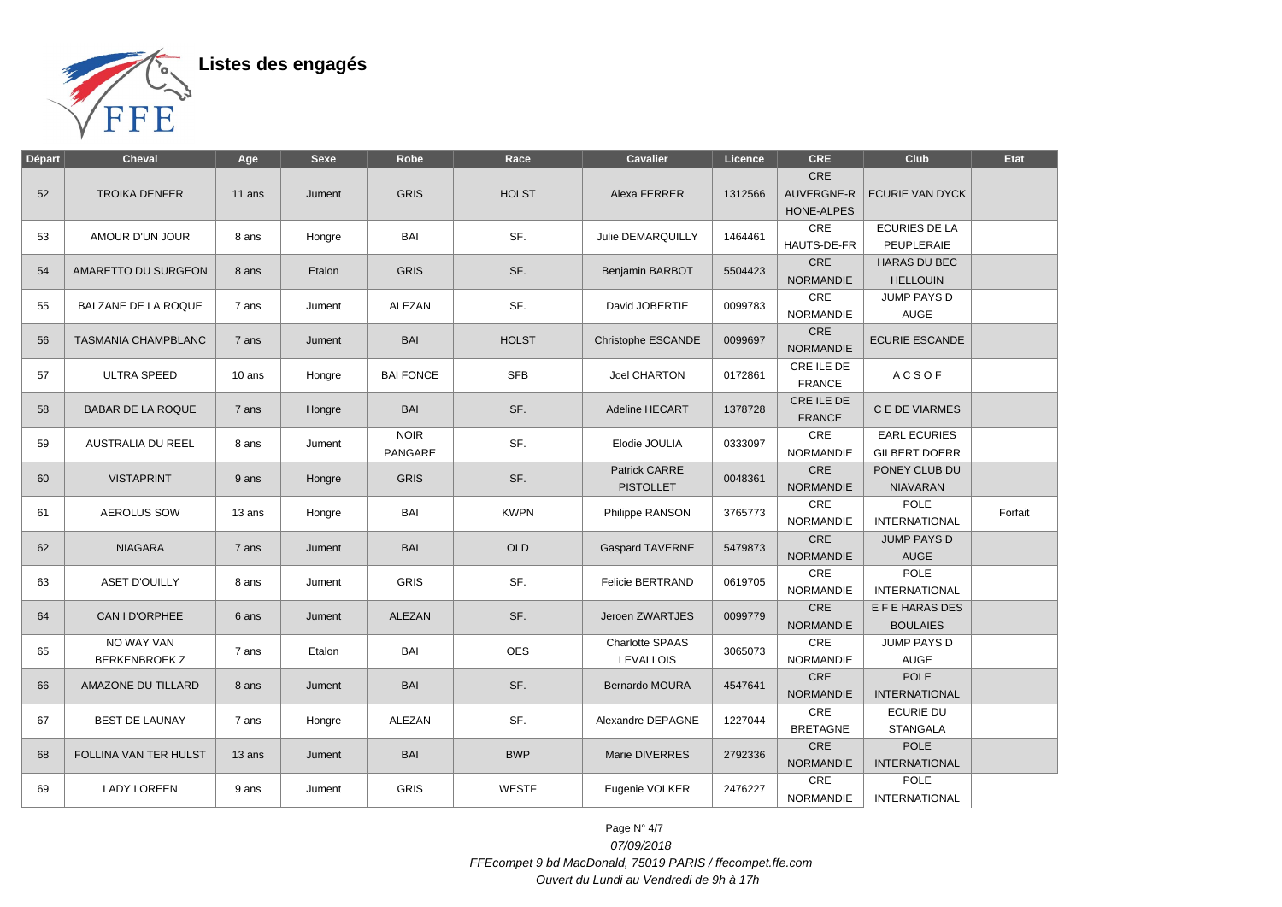

| <b>Départ</b> | <b>Cheval</b>                      | Age    | <b>Sexe</b> | Robe                          | Race         | <b>Cavalier</b>                          | Licence | <b>CRE</b>                                           | Club                                        | Etat    |
|---------------|------------------------------------|--------|-------------|-------------------------------|--------------|------------------------------------------|---------|------------------------------------------------------|---------------------------------------------|---------|
| 52            | <b>TROIKA DENFER</b>               | 11 ans | Jument      | <b>GRIS</b>                   | <b>HOLST</b> | Alexa FERRER                             | 1312566 | <b>CRE</b><br><b>AUVERGNE-R</b><br><b>HONE-ALPES</b> | <b>ECURIE VAN DYCK</b>                      |         |
| 53            | AMOUR D'UN JOUR                    | 8 ans  | Hongre      | BAI                           | SF.          | Julie DEMARQUILLY                        | 1464461 | CRE<br>HAUTS-DE-FR                                   | <b>ECURIES DE LA</b><br>PEUPLERAIE          |         |
| 54            | AMARETTO DU SURGEON                | 8 ans  | Etalon      | <b>GRIS</b>                   | SF.          | Benjamin BARBOT                          | 5504423 | CRE<br><b>NORMANDIE</b>                              | <b>HARAS DU BEC</b><br><b>HELLOUIN</b>      |         |
| 55            | BALZANE DE LA ROQUE                | 7 ans  | Jument      | ALEZAN                        | SF.          | David JOBERTIE                           | 0099783 | CRE<br><b>NORMANDIE</b>                              | JUMP PAYS D<br><b>AUGE</b>                  |         |
| 56            | <b>TASMANIA CHAMPBLANC</b>         | 7 ans  | Jument      | <b>BAI</b>                    | <b>HOLST</b> | Christophe ESCANDE                       | 0099697 | CRE<br><b>NORMANDIE</b>                              | <b>ECURIE ESCANDE</b>                       |         |
| 57            | <b>ULTRA SPEED</b>                 | 10 ans | Hongre      | <b>BAI FONCE</b>              | <b>SFB</b>   | <b>Joel CHARTON</b>                      | 0172861 | CRE ILE DE<br><b>FRANCE</b>                          | <b>ACSOF</b>                                |         |
| 58            | <b>BABAR DE LA ROQUE</b>           | 7 ans  | Hongre      | <b>BAI</b>                    | SF.          | <b>Adeline HECART</b>                    | 1378728 | CRE ILE DE<br><b>FRANCE</b>                          | C E DE VIARMES                              |         |
| 59            | AUSTRALIA DU REEL                  | 8 ans  | Jument      | <b>NOIR</b><br><b>PANGARE</b> | SF.          | Elodie JOULIA                            | 0333097 | CRE<br><b>NORMANDIE</b>                              | <b>EARL ECURIES</b><br><b>GILBERT DOERR</b> |         |
| 60            | <b>VISTAPRINT</b>                  | 9 ans  | Hongre      | <b>GRIS</b>                   | SF.          | <b>Patrick CARRE</b><br><b>PISTOLLET</b> | 0048361 | CRE<br><b>NORMANDIE</b>                              | PONEY CLUB DU<br><b>NIAVARAN</b>            |         |
| 61            | <b>AEROLUS SOW</b>                 | 13 ans | Hongre      | BAI                           | <b>KWPN</b>  | Philippe RANSON                          | 3765773 | CRE<br><b>NORMANDIE</b>                              | POLE<br><b>INTERNATIONAL</b>                | Forfait |
| 62            | <b>NIAGARA</b>                     | 7 ans  | Jument      | <b>BAI</b>                    | <b>OLD</b>   | <b>Gaspard TAVERNE</b>                   | 5479873 | CRE<br>NORMANDIE                                     | <b>JUMP PAYS D</b><br>AUGE                  |         |
| 63            | <b>ASET D'OUILLY</b>               | 8 ans  | Jument      | <b>GRIS</b>                   | SF.          | Felicie BERTRAND                         | 0619705 | CRE<br><b>NORMANDIE</b>                              | POLE<br><b>INTERNATIONAL</b>                |         |
| 64            | CAN I D'ORPHEE                     | 6 ans  | Jument      | <b>ALEZAN</b>                 | SF.          | Jeroen ZWARTJES                          | 0099779 | CRE<br><b>NORMANDIE</b>                              | E F E HARAS DES<br><b>BOULAIES</b>          |         |
| 65            | NO WAY VAN<br><b>BERKENBROEK Z</b> | 7 ans  | Etalon      | BAI                           | <b>OES</b>   | Charlotte SPAAS<br><b>LEVALLOIS</b>      | 3065073 | CRE<br><b>NORMANDIE</b>                              | JUMP PAYS D<br><b>AUGE</b>                  |         |
| 66            | AMAZONE DU TILLARD                 | 8 ans  | Jument      | <b>BAI</b>                    | SF.          | <b>Bernardo MOURA</b>                    | 4547641 | CRE<br><b>NORMANDIE</b>                              | <b>POLE</b><br><b>INTERNATIONAL</b>         |         |
| 67            | <b>BEST DE LAUNAY</b>              | 7 ans  | Hongre      | ALEZAN                        | SF.          | Alexandre DEPAGNE                        | 1227044 | CRE<br><b>BRETAGNE</b>                               | <b>ECURIE DU</b><br><b>STANGALA</b>         |         |
| 68            | FOLLINA VAN TER HULST              | 13 ans | Jument      | <b>BAI</b>                    | <b>BWP</b>   | Marie DIVERRES                           | 2792336 | CRE<br><b>NORMANDIE</b>                              | POLE<br><b>INTERNATIONAL</b>                |         |
| 69            | <b>LADY LOREEN</b>                 | 9 ans  | Jument      | <b>GRIS</b>                   | <b>WESTF</b> | Eugenie VOLKER                           | 2476227 | CRE<br><b>NORMANDIE</b>                              | <b>POLE</b><br><b>INTERNATIONAL</b>         |         |

Page N° 4/7 07/09/2018 FFEcompet 9 bd MacDonald, 75019 PARIS / ffecompet.ffe.com Ouvert du Lundi au Vendredi de 9h à 17h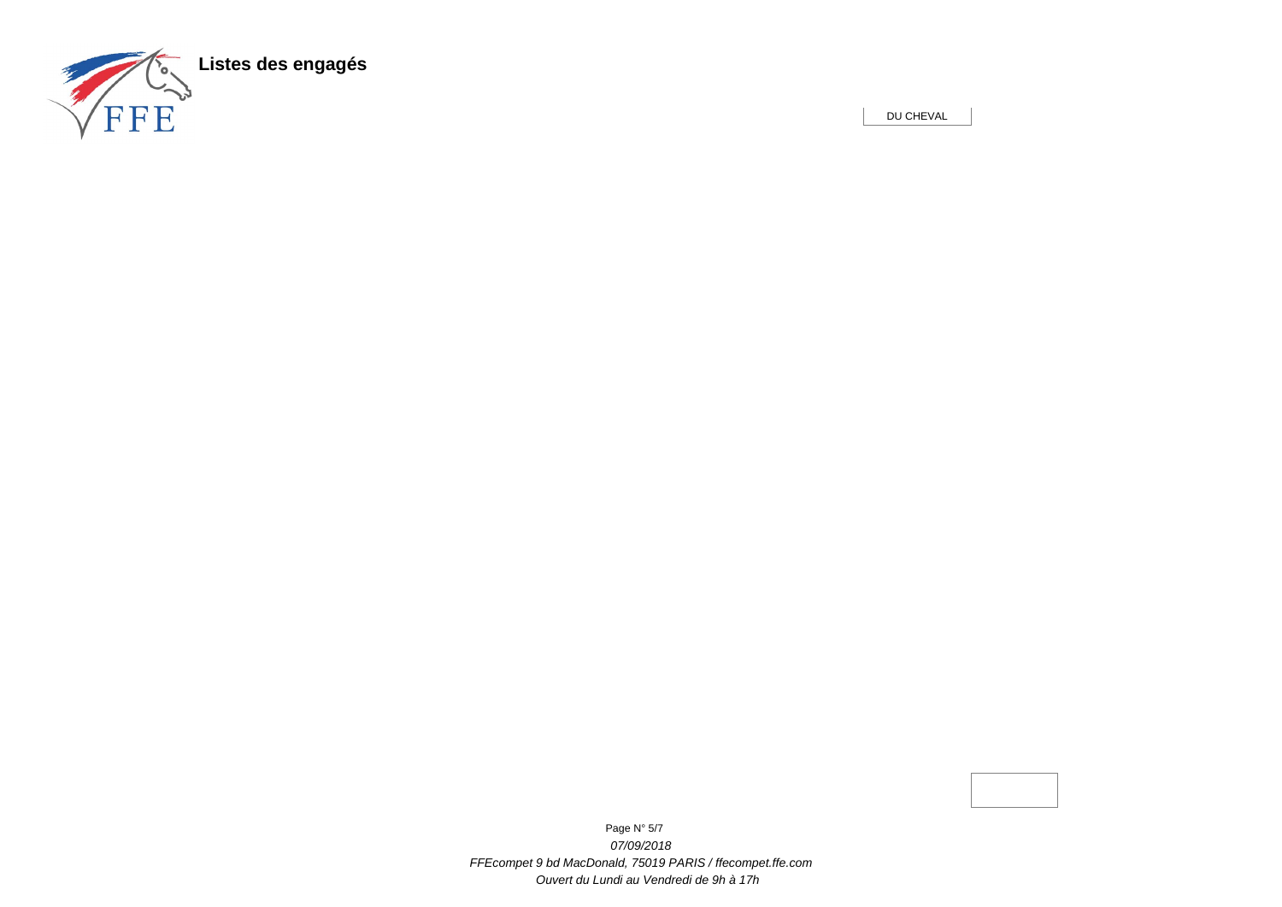

DU CHEVAL

Page N° 5/7 07/09/2018 FFEcompet 9 bd MacDonald, 75019 PARIS / ffecompet.ffe.com Ouvert du Lundi au Vendredi de 9h à 17h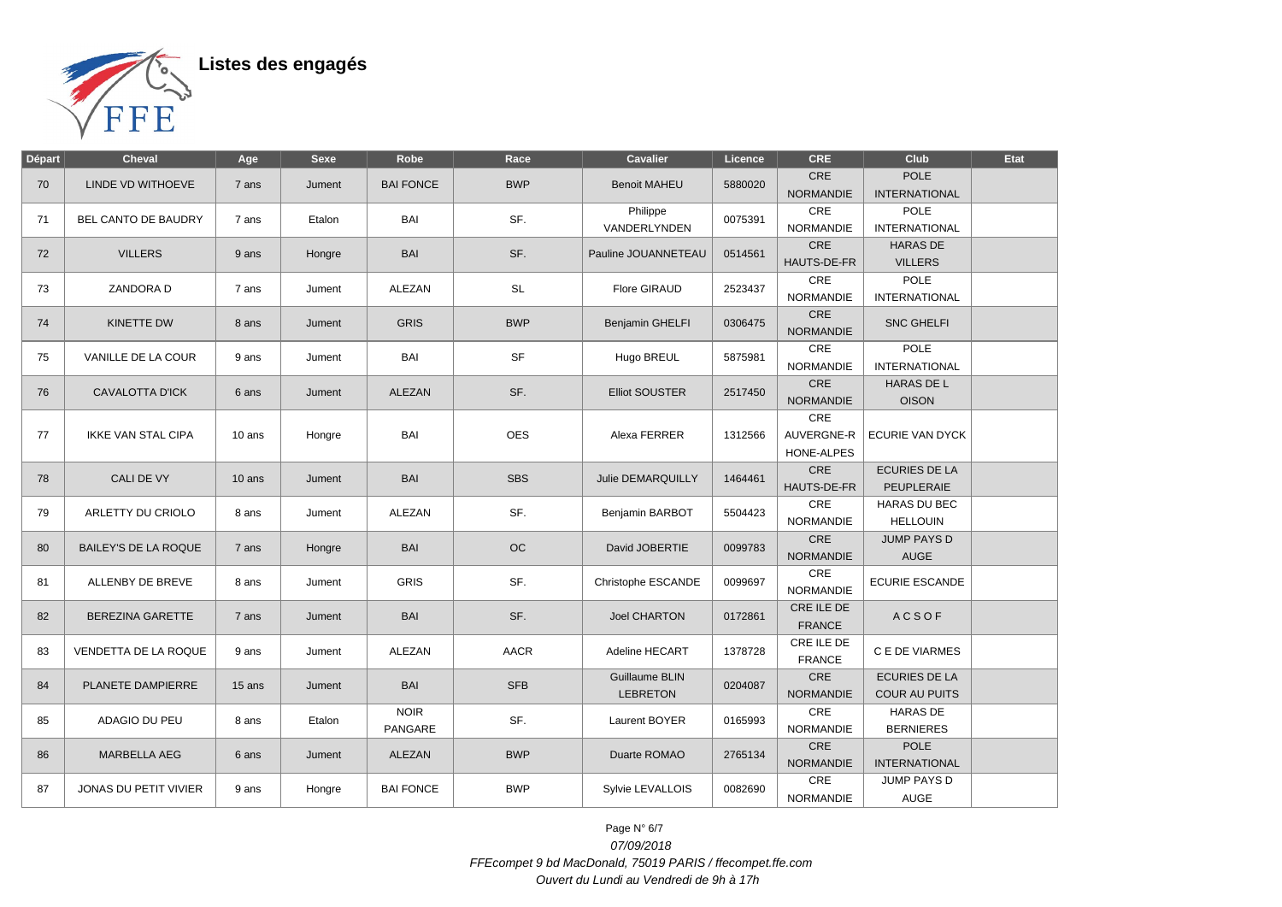

| <b>Départ</b> | <b>Cheval</b>               | Age      | <b>Sexe</b> | Robe                   | Race        | <b>Cavalier</b>                   | Licence | <b>CRE</b>                      | Club                                   | <b>Etat</b> |
|---------------|-----------------------------|----------|-------------|------------------------|-------------|-----------------------------------|---------|---------------------------------|----------------------------------------|-------------|
| 70            | LINDE VD WITHOEVE           | 7 ans    | Jument      | <b>BAI FONCE</b>       | <b>BWP</b>  | <b>Benoit MAHEU</b>               | 5880020 | <b>CRE</b><br><b>NORMANDIE</b>  | <b>POLE</b><br><b>INTERNATIONAL</b>    |             |
| 71            | BEL CANTO DE BAUDRY         | 7 ans    | Etalon      | BAI                    | SF.         | Philippe<br>VANDERLYNDEN          | 0075391 | CRE<br><b>NORMANDIE</b>         | <b>POLE</b><br><b>INTERNATIONAL</b>    |             |
| 72            | <b>VILLERS</b>              | 9 ans    | Hongre      | <b>BAI</b>             | SF.         | Pauline JOUANNETEAU               | 0514561 | CRE<br>HAUTS-DE-FR              | <b>HARAS DE</b><br><b>VILLERS</b>      |             |
| 73            | ZANDORA D                   | 7 ans    | Jument      | ALEZAN                 | <b>SL</b>   | <b>Flore GIRAUD</b>               | 2523437 | CRE<br><b>NORMANDIE</b>         | POLE<br><b>INTERNATIONAL</b>           |             |
| 74            | <b>KINETTE DW</b>           | 8 ans    | Jument      | <b>GRIS</b>            | <b>BWP</b>  | Benjamin GHELFI                   | 0306475 | CRE<br><b>NORMANDIE</b>         | <b>SNC GHELFI</b>                      |             |
| 75            | VANILLE DE LA COUR          | 9 ans    | Jument      | BAI                    | <b>SF</b>   | Hugo BREUL                        | 5875981 | CRE<br><b>NORMANDIE</b>         | <b>POLE</b><br><b>INTERNATIONAL</b>    |             |
| 76            | <b>CAVALOTTA D'ICK</b>      | 6 ans    | Jument      | <b>ALEZAN</b>          | SF.         | <b>Elliot SOUSTER</b>             | 2517450 | CRE<br><b>NORMANDIE</b>         | <b>HARAS DE L</b><br><b>OISON</b>      |             |
| 77            | <b>IKKE VAN STAL CIPA</b>   | 10 ans   | Hongre      | BAI                    | <b>OES</b>  | Alexa FERRER                      | 1312566 | CRE<br>AUVERGNE-R<br>HONE-ALPES | <b>ECURIE VAN DYCK</b>                 |             |
| 78            | CALI DE VY                  | $10$ ans | Jument      | <b>BAI</b>             | <b>SBS</b>  | <b>Julie DEMARQUILLY</b>          | 1464461 | $\mathsf{CRE}$<br>HAUTS-DE-FR   | <b>ECURIES DE LA</b><br>PEUPLERAIE     |             |
| 79            | ARLETTY DU CRIOLO           | 8 ans    | Jument      | ALEZAN                 | SF.         | Benjamin BARBOT                   | 5504423 | CRE<br><b>NORMANDIE</b>         | <b>HARAS DU BEC</b><br><b>HELLOUIN</b> |             |
| 80            | <b>BAILEY'S DE LA ROQUE</b> | 7 ans    | Hongre      | <b>BAI</b>             | OC          | David JOBERTIE                    | 0099783 | CRE<br><b>NORMANDIE</b>         | <b>JUMP PAYS D</b><br><b>AUGE</b>      |             |
| 81            | ALLENBY DE BREVE            | 8 ans    | Jument      | <b>GRIS</b>            | SF.         | Christophe ESCANDE                | 0099697 | <b>CRE</b><br><b>NORMANDIE</b>  | <b>ECURIE ESCANDE</b>                  |             |
| 82            | <b>BEREZINA GARETTE</b>     | 7 ans    | Jument      | <b>BAI</b>             | SF.         | <b>Joel CHARTON</b>               | 0172861 | CRE ILE DE<br><b>FRANCE</b>     | <b>ACSOF</b>                           |             |
| 83            | VENDETTA DE LA ROQUE        | 9 ans    | Jument      | ALEZAN                 | <b>AACR</b> | Adeline HECART                    | 1378728 | CRE ILE DE<br><b>FRANCE</b>     | C E DE VIARMES                         |             |
| 84            | PLANETE DAMPIERRE           | 15 ans   | Jument      | <b>BAI</b>             | <b>SFB</b>  | Guillaume BLIN<br><b>LEBRETON</b> | 0204087 | CRE<br><b>NORMANDIE</b>         | <b>ECURIES DE LA</b><br>COUR AU PUITS  |             |
| 85            | ADAGIO DU PEU               | 8 ans    | Etalon      | <b>NOIR</b><br>PANGARE | SF.         | Laurent BOYER                     | 0165993 | <b>CRE</b><br><b>NORMANDIE</b>  | <b>HARAS DE</b><br><b>BERNIERES</b>    |             |
| 86            | <b>MARBELLA AEG</b>         | 6 ans    | Jument      | ALEZAN                 | <b>BWP</b>  | Duarte ROMAO                      | 2765134 | <b>CRE</b><br>NORMANDIE         | <b>POLE</b><br><b>INTERNATIONAL</b>    |             |
| 87            | JONAS DU PETIT VIVIER       | 9 ans    | Hongre      | <b>BAI FONCE</b>       | <b>BWP</b>  | Sylvie LEVALLOIS                  | 0082690 | <b>CRE</b><br>NORMANDIE         | JUMP PAYS D<br>AUGE                    |             |

Page N° 6/7 07/09/2018 FFEcompet 9 bd MacDonald, 75019 PARIS / ffecompet.ffe.com Ouvert du Lundi au Vendredi de 9h à 17h